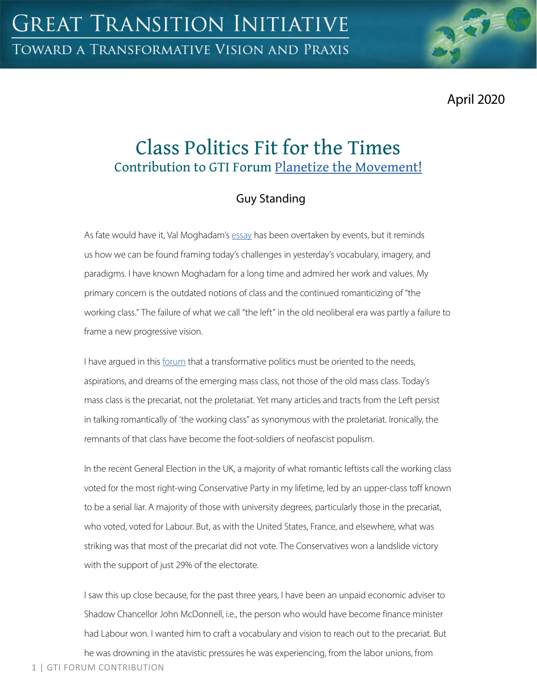April 2020

# Class Politics Fit for the Times Contribution to GTI Forum [Planetize the Movement!](https://greattransition.org/gti-forum/planetize-the-movement)

## Guy Standing

As fate would have it, Val Moghadam's [essay](https://greattransition.org/gti-forum/planetize-movement-moghadam) has been overtaken by events, but it reminds us how we can be found framing today's challenges in yesterday's vocabulary, imagery, and paradigms. I have known Moghadam for a long time and admired her work and values. My primary concern is the outdated notions of class and the continued romanticizing of "the working class." The failure of what we call "the left" in the old neoliberal era was partly a failure to frame a new progressive vision.

I have argued in this [forum](https://greattransition.org/publication/precariat-transformative-class) that a transformative politics must be oriented to the needs, aspirations, and dreams of the emerging mass class, not those of the old mass class. Today's mass class is the precariat, not the proletariat. Yet many articles and tracts from the Left persist in talking romantically of 'the working class" as synonymous with the proletariat. Ironically, the remnants of that class have become the foot-soldiers of neofascist populism.

In the recent General Election in the UK, a majority of what romantic leftists call the working class voted for the most right-wing Conservative Party in my lifetime, led by an upper-class toff known to be a serial liar. A majority of those with university degrees, particularly those in the precariat, who voted, voted for Labour. But, as with the United States, France, and elsewhere, what was striking was that most of the precariat did not vote. The Conservatives won a landslide victory with the support of just 29% of the electorate.

I saw this up close because, for the past three years, I have been an unpaid economic adviser to Shadow Chancellor John McDonnell, i.e., the person who would have become finance minister had Labour won. I wanted him to craft a vocabulary and vision to reach out to the precariat. But

1 | GTI FORUM CONTRIBUTION he was drowning in the atavistic pressures he was experiencing, from the labor unions, from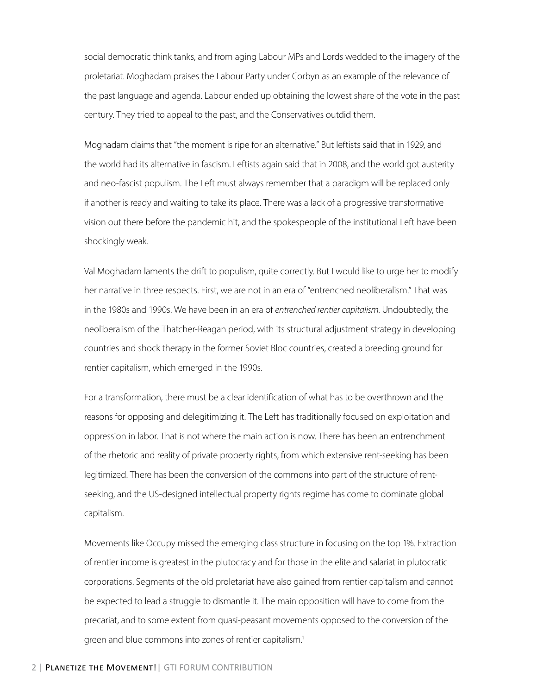social democratic think tanks, and from aging Labour MPs and Lords wedded to the imagery of the proletariat. Moghadam praises the Labour Party under Corbyn as an example of the relevance of the past language and agenda. Labour ended up obtaining the lowest share of the vote in the past century. They tried to appeal to the past, and the Conservatives outdid them.

Moghadam claims that "the moment is ripe for an alternative." But leftists said that in 1929, and the world had its alternative in fascism. Leftists again said that in 2008, and the world got austerity and neo-fascist populism. The Left must always remember that a paradigm will be replaced only if another is ready and waiting to take its place. There was a lack of a progressive transformative vision out there before the pandemic hit, and the spokespeople of the institutional Left have been shockingly weak.

Val Moghadam laments the drift to populism, quite correctly. But I would like to urge her to modify her narrative in three respects. First, we are not in an era of "entrenched neoliberalism." That was in the 1980s and 1990s. We have been in an era of *entrenched rentier capitalism*. Undoubtedly, the neoliberalism of the Thatcher-Reagan period, with its structural adjustment strategy in developing countries and shock therapy in the former Soviet Bloc countries, created a breeding ground for rentier capitalism, which emerged in the 1990s.

For a transformation, there must be a clear identification of what has to be overthrown and the reasons for opposing and delegitimizing it. The Left has traditionally focused on exploitation and oppression in labor. That is not where the main action is now. There has been an entrenchment of the rhetoric and reality of private property rights, from which extensive rent-seeking has been legitimized. There has been the conversion of the commons into part of the structure of rentseeking, and the US-designed intellectual property rights regime has come to dominate global capitalism.

Movements like Occupy missed the emerging class structure in focusing on the top 1%. Extraction of rentier income is greatest in the plutocracy and for those in the elite and salariat in plutocratic corporations. Segments of the old proletariat have also gained from rentier capitalism and cannot be expected to lead a struggle to dismantle it. The main opposition will have to come from the precariat, and to some extent from quasi-peasant movements opposed to the conversion of the green and blue commons into zones of rentier capitalism.<sup>1</sup>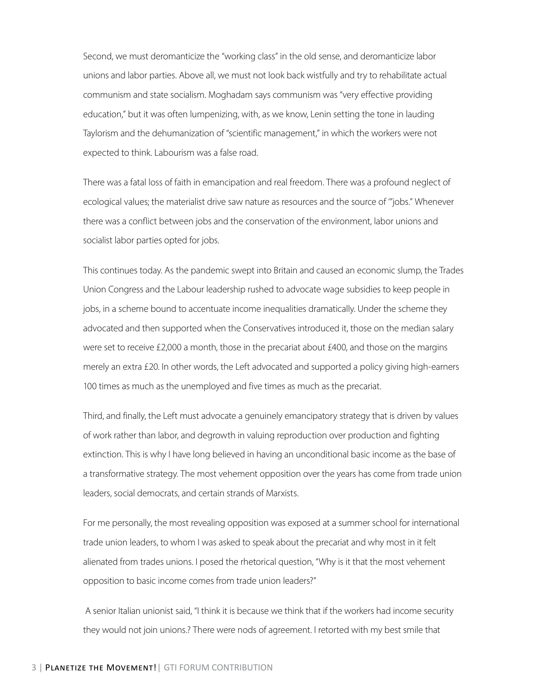Second, we must deromanticize the "working class" in the old sense, and deromanticize labor unions and labor parties. Above all, we must not look back wistfully and try to rehabilitate actual communism and state socialism. Moghadam says communism was "very effective providing education," but it was often lumpenizing, with, as we know, Lenin setting the tone in lauding Taylorism and the dehumanization of "scientific management," in which the workers were not expected to think. Labourism was a false road.

There was a fatal loss of faith in emancipation and real freedom. There was a profound neglect of ecological values; the materialist drive saw nature as resources and the source of '"jobs." Whenever there was a conflict between jobs and the conservation of the environment, labor unions and socialist labor parties opted for jobs.

This continues today. As the pandemic swept into Britain and caused an economic slump, the Trades Union Congress and the Labour leadership rushed to advocate wage subsidies to keep people in jobs, in a scheme bound to accentuate income inequalities dramatically. Under the scheme they advocated and then supported when the Conservatives introduced it, those on the median salary were set to receive £2,000 a month, those in the precariat about £400, and those on the margins merely an extra £20. In other words, the Left advocated and supported a policy giving high-earners 100 times as much as the unemployed and five times as much as the precariat.

Third, and finally, the Left must advocate a genuinely emancipatory strategy that is driven by values of work rather than labor, and degrowth in valuing reproduction over production and fighting extinction. This is why I have long believed in having an unconditional basic income as the base of a transformative strategy. The most vehement opposition over the years has come from trade union leaders, social democrats, and certain strands of Marxists.

For me personally, the most revealing opposition was exposed at a summer school for international trade union leaders, to whom I was asked to speak about the precariat and why most in it felt alienated from trades unions. I posed the rhetorical question, "Why is it that the most vehement opposition to basic income comes from trade union leaders?"

 A senior Italian unionist said, "I think it is because we think that if the workers had income security they would not join unions.? There were nods of agreement. I retorted with my best smile that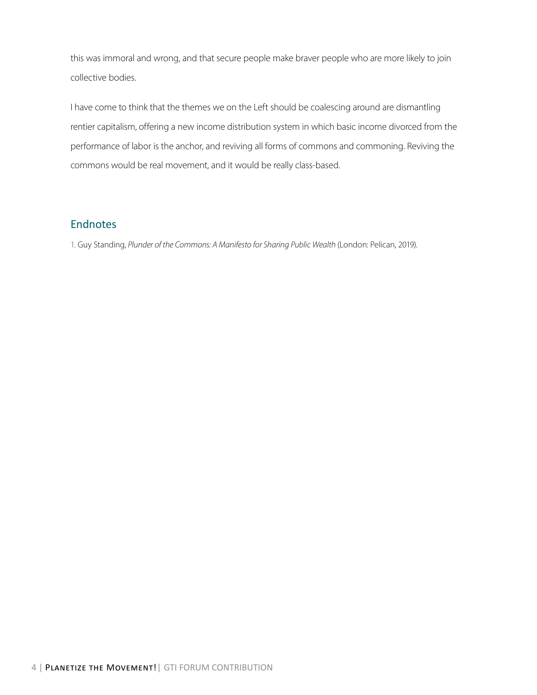this was immoral and wrong, and that secure people make braver people who are more likely to join collective bodies.

I have come to think that the themes we on the Left should be coalescing around are dismantling rentier capitalism, offering a new income distribution system in which basic income divorced from the performance of labor is the anchor, and reviving all forms of commons and commoning. Reviving the commons would be real movement, and it would be really class-based.

#### **Endnotes**

1. Guy Standing, *Plunder of the Commons: A Manifesto for Sharing Public Wealth* (London: Pelican, 2019).